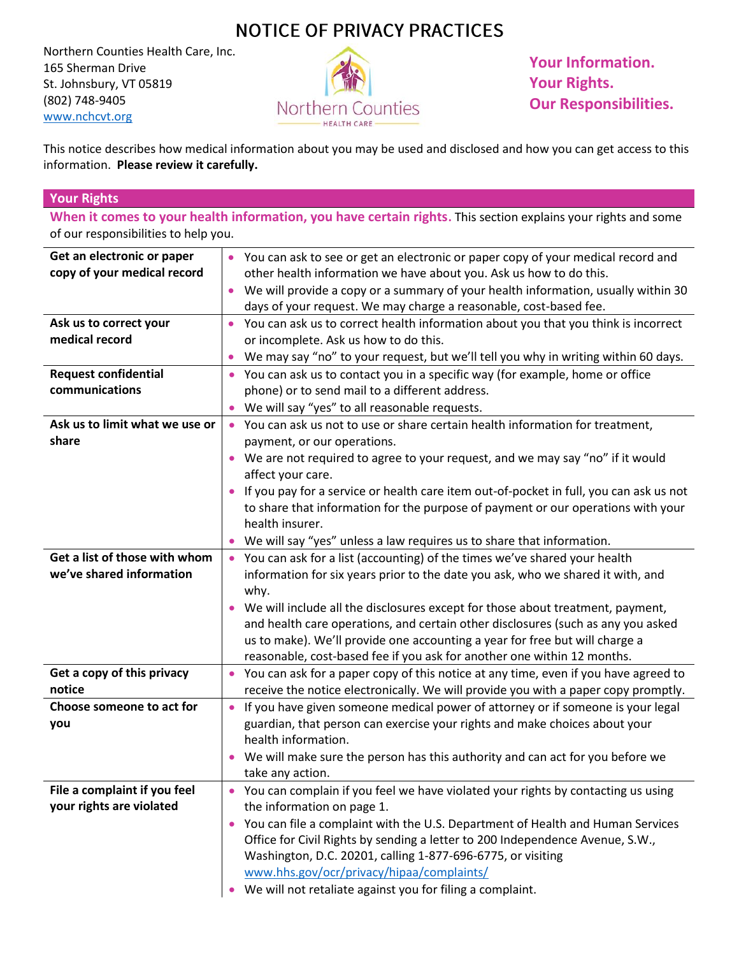# **NOTICE OF PRIVACY PRACTICES**

Northern Counties Health Care, Inc. 165 Sherman Drive St. Johnsbury, VT 05819 (802) 748-9405 [www.nchcvt.org](http://www.nchcvt.org/)



**Your Information. Your Rights. Our Responsibilities.**

This notice describes how medical information about you may be used and disclosed and how you can get access to this information. **Please review it carefully.**

# **Your Rights**

**When it comes to your health information, you have certain rights.** This section explains your rights and some of our responsibilities to help you.

| Get an electronic or paper     | You can ask to see or get an electronic or paper copy of your medical record and                 |
|--------------------------------|--------------------------------------------------------------------------------------------------|
| copy of your medical record    | other health information we have about you. Ask us how to do this.                               |
|                                | We will provide a copy or a summary of your health information, usually within 30                |
|                                | days of your request. We may charge a reasonable, cost-based fee.                                |
| Ask us to correct your         | You can ask us to correct health information about you that you think is incorrect               |
| medical record                 | or incomplete. Ask us how to do this.                                                            |
|                                | We may say "no" to your request, but we'll tell you why in writing within 60 days.               |
| <b>Request confidential</b>    | You can ask us to contact you in a specific way (for example, home or office<br>$\bullet$        |
| communications                 | phone) or to send mail to a different address.                                                   |
|                                | We will say "yes" to all reasonable requests.                                                    |
| Ask us to limit what we use or | You can ask us not to use or share certain health information for treatment,                     |
| share                          | payment, or our operations.                                                                      |
|                                | We are not required to agree to your request, and we may say "no" if it would                    |
|                                | affect your care.                                                                                |
|                                | If you pay for a service or health care item out-of-pocket in full, you can ask us not           |
|                                | to share that information for the purpose of payment or our operations with your                 |
|                                | health insurer.                                                                                  |
|                                | We will say "yes" unless a law requires us to share that information.                            |
| Get a list of those with whom  | You can ask for a list (accounting) of the times we've shared your health                        |
| we've shared information       | information for six years prior to the date you ask, who we shared it with, and                  |
|                                | why.                                                                                             |
|                                | We will include all the disclosures except for those about treatment, payment,                   |
|                                | and health care operations, and certain other disclosures (such as any you asked                 |
|                                | us to make). We'll provide one accounting a year for free but will charge a                      |
|                                | reasonable, cost-based fee if you ask for another one within 12 months.                          |
| Get a copy of this privacy     | You can ask for a paper copy of this notice at any time, even if you have agreed to<br>$\bullet$ |
| notice                         | receive the notice electronically. We will provide you with a paper copy promptly.               |
| Choose someone to act for      | If you have given someone medical power of attorney or if someone is your legal                  |
| you                            | guardian, that person can exercise your rights and make choices about your                       |
|                                | health information.                                                                              |
|                                | We will make sure the person has this authority and can act for you before we                    |
|                                | take any action.                                                                                 |
| File a complaint if you feel   | You can complain if you feel we have violated your rights by contacting us using                 |
| your rights are violated       | the information on page 1.                                                                       |
|                                | You can file a complaint with the U.S. Department of Health and Human Services                   |
|                                | Office for Civil Rights by sending a letter to 200 Independence Avenue, S.W.,                    |
|                                | Washington, D.C. 20201, calling 1-877-696-6775, or visiting                                      |
|                                | www.hhs.gov/ocr/privacy/hipaa/complaints/                                                        |
|                                | We will not retaliate against you for filing a complaint.                                        |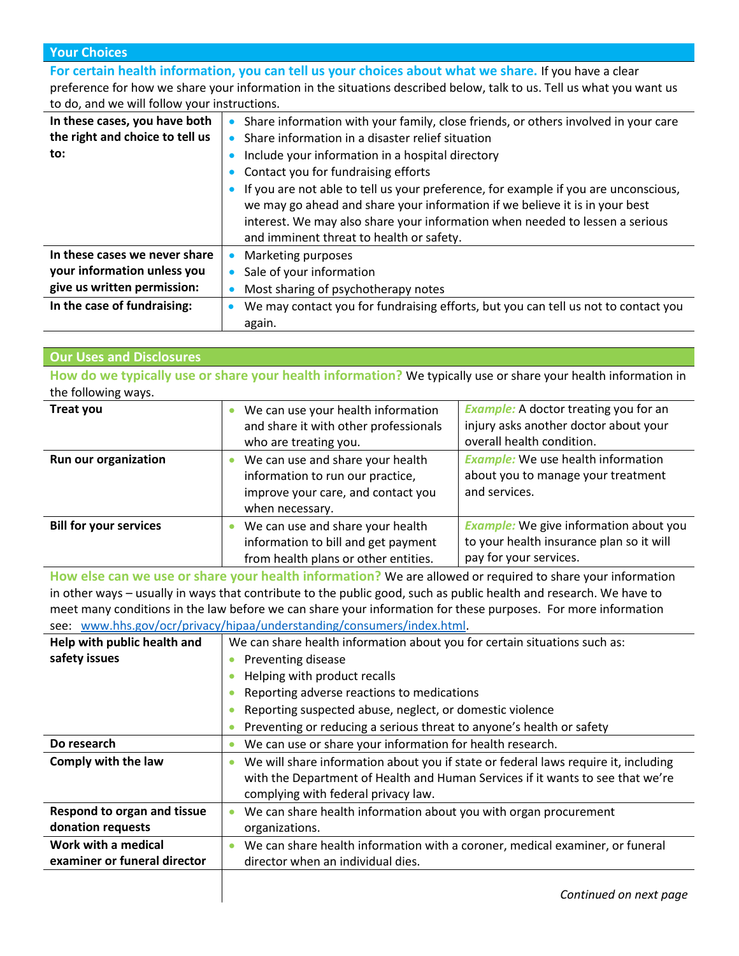### **Your Choices**

**For certain health information, you can tell us your choices about what we share.** If you have a clear preference for how we share your information in the situations described below, talk to us. Tell us what you want us to do, and we will follow your instructions.

| In these cases, you have both   | Share information with your family, close friends, or others involved in your care<br>$\bullet$ |
|---------------------------------|-------------------------------------------------------------------------------------------------|
| the right and choice to tell us | Share information in a disaster relief situation                                                |
| to:                             | Include your information in a hospital directory                                                |
|                                 | Contact you for fundraising efforts                                                             |
|                                 | If you are not able to tell us your preference, for example if you are unconscious,             |
|                                 | we may go ahead and share your information if we believe it is in your best                     |
|                                 | interest. We may also share your information when needed to lessen a serious                    |
|                                 | and imminent threat to health or safety.                                                        |
| In these cases we never share   | Marketing purposes                                                                              |
| your information unless you     | Sale of your information                                                                        |
| give us written permission:     | Most sharing of psychotherapy notes                                                             |
| In the case of fundraising:     | We may contact you for fundraising efforts, but you can tell us not to contact you              |
|                                 | again.                                                                                          |

#### **Our Uses and Disclosures**

**How do we typically use or share your health information?** We typically use or share your health information in the following ways.

| Treat you                     | We can use your health information<br>and share it with other professionals<br>who are treating you.                          | <b>Example:</b> A doctor treating you for an<br>injury asks another doctor about your<br>overall health condition.  |
|-------------------------------|-------------------------------------------------------------------------------------------------------------------------------|---------------------------------------------------------------------------------------------------------------------|
| Run our organization          | We can use and share your health<br>information to run our practice,<br>improve your care, and contact you<br>when necessary. | <b>Example:</b> We use health information<br>about you to manage your treatment<br>and services.                    |
| <b>Bill for your services</b> | We can use and share your health<br>information to bill and get payment<br>from health plans or other entities.               | <b>Example:</b> We give information about you<br>to your health insurance plan so it will<br>pay for your services. |

**How else can we use or share your health information?** We are allowed or required to share your information in other ways – usually in ways that contribute to the public good, such as public health and research. We have to meet many conditions in the law before we can share your information for these purposes. For more information see: [www.hhs.gov/ocr/privacy/hipaa/understanding/consumers/index.html.](http://www.hhs.gov/ocr/privacy/hipaa/understanding/consumers/index.html)

| Help with public health and  | We can share health information about you for certain situations such as:          |
|------------------------------|------------------------------------------------------------------------------------|
| safety issues                | Preventing disease<br>$\bullet$                                                    |
|                              | Helping with product recalls                                                       |
|                              | Reporting adverse reactions to medications                                         |
|                              | Reporting suspected abuse, neglect, or domestic violence                           |
|                              | Preventing or reducing a serious threat to anyone's health or safety               |
| Do research                  | We can use or share your information for health research.                          |
| Comply with the law          | We will share information about you if state or federal laws require it, including |
|                              | with the Department of Health and Human Services if it wants to see that we're     |
|                              | complying with federal privacy law.                                                |
| Respond to organ and tissue  | We can share health information about you with organ procurement                   |
| donation requests            | organizations.                                                                     |
| Work with a medical          | We can share health information with a coroner, medical examiner, or funeral       |
| examiner or funeral director | director when an individual dies.                                                  |
|                              |                                                                                    |